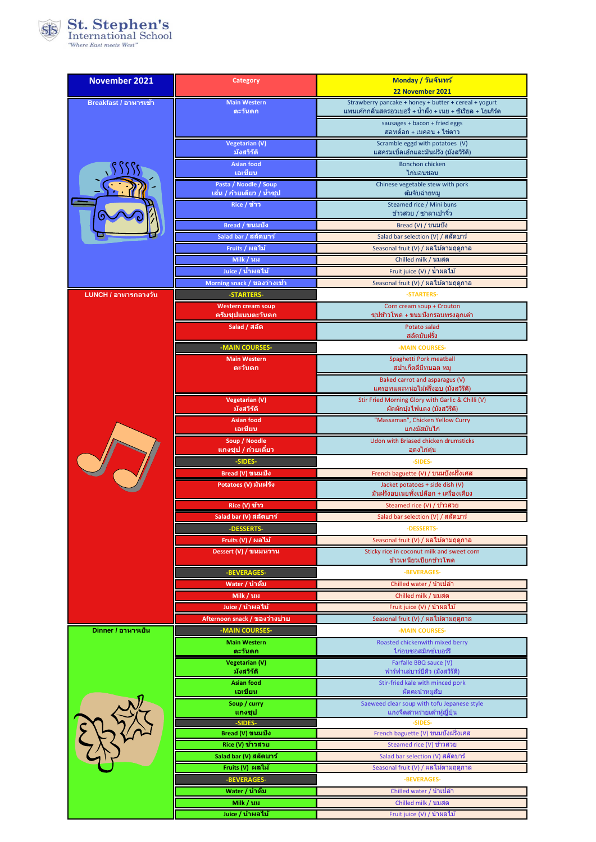

| <b>November 2021</b>  | <b>Category</b>                                 | Monday / วันจันทร์                                                                                                    |
|-----------------------|-------------------------------------------------|-----------------------------------------------------------------------------------------------------------------------|
|                       |                                                 | 22 November 2021                                                                                                      |
| Breakfast / อาหารเข้า | <b>Main Western</b><br>ตะวันตก                  | Strawberry pancake + honey + butter + cereal + yogurt<br>แพนเค้กกลิ่นสตรอวเบอรี่ + น้ำผึ้ง + เนย + ซีเรียล + โยเกิร์ต |
|                       |                                                 | sausages + bacon + fried eggs                                                                                         |
|                       |                                                 | ฮอทด็อก + เบคอน + ไข่ดาว                                                                                              |
|                       | <b>Vegetarian (V)</b>                           | Scramble eggd with potatoes (V)                                                                                       |
|                       | มังสวิรัติ<br><b>Asian food</b>                 | แสครมเบิ้ลเอ้กและมันฝรั่ง (มังสวิรัติ)<br><b>Bonchon chicken</b>                                                      |
|                       | ีเอเชียน                                        | ไก่บอนชอน                                                                                                             |
|                       | Pasta / Noodle / Soup                           | Chinese vegetable stew with pork                                                                                      |
|                       | ีเส้น / ก๋วยเตี๋ยว / น้ำชุป<br>Rice / ข้าว      | ดัมจับฉ่ายหม<br>Steamed rice / Mini buns                                                                              |
|                       |                                                 | ข้าวสวย / ซาลาเปาจิ๋ว                                                                                                 |
|                       | Bread / ขนมปัง                                  | Bread (V) / ขนมปัง                                                                                                    |
|                       | Salad bar / สลัดบาร์                            | Salad bar selection (V) / สลัดบาร์                                                                                    |
|                       | Fruits / ผลไม้                                  | Seasonal fruit (V) / ผลไม้ตามฤดูกาล                                                                                   |
|                       | Milk / นม                                       | Chilled milk / นมสด                                                                                                   |
|                       | Juice / น้ำผลไม้<br>Morning snack / ของว่างเข้า | Fruit juice (V) / น้ำผลไม้<br>Seasonal fruit (V) / ผลไม้ตามฤดูกาล                                                     |
| LUNCH / อาหารกลางวัน  | -STARTERS-                                      | -STARTERS-                                                                                                            |
|                       | <b>Western cream soup</b>                       | Corn cream soup + Crouton                                                                                             |
|                       | ครีมชุปแบบตะวันตก                               | <u> ซุปข้าวโพด + ขนมปังกรอบทรงลูกเต๋า</u>                                                                             |
|                       | Salad / สลัด                                    | Potato salad<br>สลัดมันฝรั่ง                                                                                          |
|                       | -MAIN COURSES-                                  | -MAIN COURSES-                                                                                                        |
|                       | <b>Main Western</b>                             | Spaghetti Pork meatball                                                                                               |
|                       | ตะวันตก                                         | ี สปาเก็ตตี้มีทบอล หมู                                                                                                |
|                       |                                                 | Baked carrot and asparagus (V)<br>แครอทและหน่อไม้ฝรั่งอบ (มังสวิรัติ)                                                 |
|                       | <b>Vegetarian (V)</b>                           | Stir Fried Morning Glory with Garlic & Chilli (V)                                                                     |
|                       | มังสวิรัติ                                      | ผัดผักบุ้งไฟแดง (มังสวิรัติ)                                                                                          |
|                       | <b>Asian food</b><br>เอเชียน                    | "Massaman", Chicken Yellow Curry<br>แกงมัสมั่นไก่                                                                     |
|                       | Soup / Noodle                                   | Udon with Briased chicken drumsticks                                                                                  |
|                       | แกงชุป / ก๋วยเตี๋ยว<br>-SIDES-                  | ้อุดงไก่ตุ๋น                                                                                                          |
|                       | Bread (V) ขนมปัง                                | -SIDES-<br>French baguette (V) / ขนมปังฝรั่งเศส                                                                       |
|                       | Potatoes (V) มันฝรั่ง                           | Jacket potatoes + side dish (V)                                                                                       |
|                       |                                                 | มันฝรั่งอบเนยทั้งเปลือก + เครื่องเคียง                                                                                |
|                       | Rice (V) ข้าว                                   | Steamed rice (V) / ข้าวสวย                                                                                            |
|                       | Salad bar (V) สลัดบาร์<br>-DESSERTS-            | Salad bar selection <mark>(V) / สลัดบาร์</mark><br>-DESSERTS-                                                         |
|                       | Fruits (V) / ผลไม้                              | Seasonal fruit (V) / ผลไม้ตามฤดูกาล                                                                                   |
|                       | Dessert (V) / ขนมหวาน                           | Sticky rice in coconut milk and sweet corn                                                                            |
|                       |                                                 | ข้าวเหนียวเ <u>ปียกข้าวโพด</u>                                                                                        |
|                       | -BEVERAGES-                                     | -BEVERAGES-                                                                                                           |
|                       | Water / น้ำดื่ม<br><u>Milk / นม</u>             | Chilled water / น้ำเปล่า<br>Chilled milk / นมสด                                                                       |
|                       | Juice / น้ำผลไม้                                | Fruit juice (V) / น้ำผลไม้                                                                                            |
|                       | Afternoon snack / ของว่างบ่าย                   | Seasonal fruit (V) / ผลไม้ตามฤดูกาล                                                                                   |
| Dinner / อาหารเย็น    | -MAIN COURSES-                                  | -MAIN COURSES-                                                                                                        |
|                       | <b>Main Western</b>                             | Roasted chickenwith mixed berry                                                                                       |
|                       | ตะวันตก<br><b>Vegetarian (V)</b>                | ไก่อบซอสมิกซ์เบอร์รี<br>Farfalle BBQ sauce (V)                                                                        |
|                       | มังสวิรัติ                                      | ฟาร์ฟาเล่บาร์บีคิว (มังสวิรัติ)                                                                                       |
|                       | <b>Asian food</b><br>เอเชียน                    | Stir-fried kale with minced pork<br>ผัดคะน้าหมูสับ                                                                    |
|                       | Soup / curry                                    | Saeweed clear soup with tofu Jepanese style                                                                           |
|                       | แกงชุป                                          | ู แกงจืดสาหร่ายเต้าหู้ญี่ปุ่น                                                                                         |
|                       | -SIDES-                                         | -SIDES-<br>French baguette (V) ขนมปังฝรั่งเศส                                                                         |
|                       | Bread (V) ขนมปัง<br>Rice (V) ข้าวสวย            | Steamed rice (V) ข้าวสวย                                                                                              |
|                       | Salad bar (V) สลัดบาร์                          | Salad bar selection (V) สลัดบาร์                                                                                      |
|                       | Fruits (V) ผลไม้                                | Seasonal fruit (V) / ผลไม้ตามฤดูกาล                                                                                   |
|                       | -BEVERAGES-                                     | -BEVERAGES-                                                                                                           |
|                       | Water / น้ำดื่ม                                 | Chilled water / นำเปล่า                                                                                               |
|                       | Milk / นม                                       | Chilled milk / นมสด                                                                                                   |
|                       | Juice / น้ำผลไม้                                | Fruit juice (V) / น้ำผลไม้                                                                                            |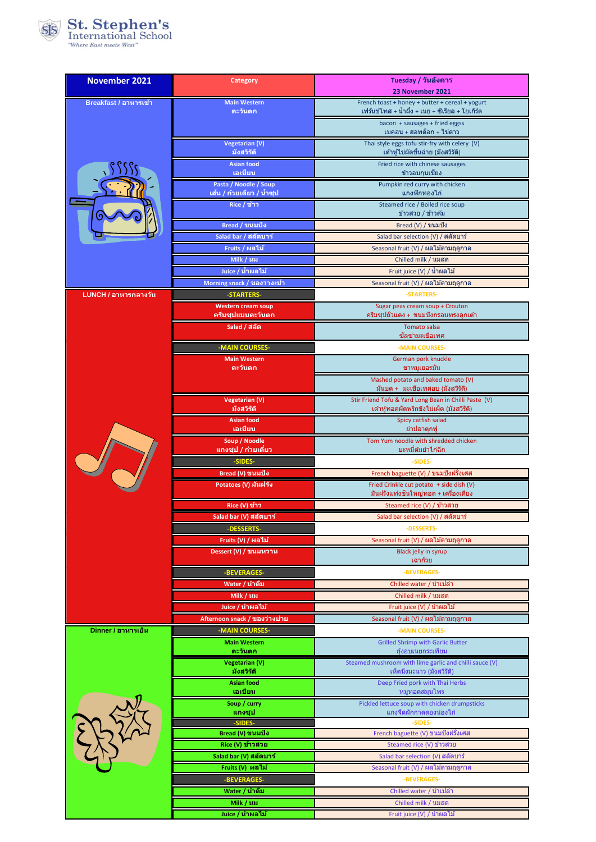

| <b>November 2021</b>  | <b>Category</b>                                 | Tuesday / วันอังคาร                                                                                |
|-----------------------|-------------------------------------------------|----------------------------------------------------------------------------------------------------|
|                       |                                                 | 23 November 2021                                                                                   |
| Breakfast / อาหารเข้า | <b>Main Western</b><br>ตะวันตก                  | French toast + honey + butter + cereal + yogurt<br>เฟร้นข์โทส + น้ำผึ้ง + เนย + ซีเรียล + โยเกิร์ต |
|                       |                                                 | bacon + sausages + fried eggss                                                                     |
|                       | <b>Vegetarian (V)</b>                           | เบคอน + ฮอทด็อก + ไข่ดาว<br>Thai style eggs tofu stir-fry with celery (V)                          |
|                       | มังสวิรัติ                                      | ้เต้าหู้ไข่ผัดขึ้นฉ่าย (มังสวิรัติ)                                                                |
|                       | <b>Asian food</b><br>เอเชียน                    | Fried rice with chinese sausages<br>ข้าวอบกุนเชียง                                                 |
|                       | Pasta / Noodle / Soup                           | Pumpkin red curry with chicken                                                                     |
|                       | ีเล้น / ก๋วยเดี๋ยว / น้ำชุป<br>Rice / ข้าว      | ้แกงฟักทองไก่<br>Steamed rice / Boiled rice soup                                                   |
|                       |                                                 | ข้าวสวย / ข้าวต้ม                                                                                  |
|                       | Bread / ขนมปัง                                  | Bread (V) / ขนมปัง                                                                                 |
|                       | Salad bar / สลัดบาร์<br>Fruits / ผลไม้          | Salad bar selection (V) / สลัดบาร์<br>Seasonal fruit (V) / ผลไม้ตามฤดูกาล                          |
|                       | Milk / นม                                       | Chilled milk / นมสด                                                                                |
|                       | Juice / น้ำผลไม้                                | Fruit juice (V) / น้ำผลไม้                                                                         |
| LUNCH / อาหารกลางวัน  | Morning snack / ของว่างเข้า<br>-STARTERS-       | Seasonal fruit (V) / ผลไม้ตามฤดูกาล                                                                |
|                       | <b>Western cream soup</b>                       | -STARTERS-<br>Sugar peas cream soup + Crouton                                                      |
|                       | ครีมชุปแบบตะวันตก                               | ครีมซุปถั่วแดง + ขนมปังกรอบทรงลูกเด๋า                                                              |
|                       | Salad / สลัด                                    | <b>Tomato salsa</b><br>ชัลช่ามะเขือเทศ                                                             |
|                       | -MAIN COURSES-                                  | -MAIN COURSES-                                                                                     |
|                       | <b>Main Western</b><br>ตะวันตก                  | German pork knuckle<br>ขาหมเยอรมัน                                                                 |
|                       |                                                 | Mashed potato and baked tomato (V)                                                                 |
|                       |                                                 | มันบด +   มะเขือเทศอบ (มังสวิรัติ)<br>Stir Friend Tofu & Yard Long Bean in Chilli Paste (V)        |
|                       | <b>Vegetarian (V)</b><br>มังสวิรัติ             | เต้าหู้ทอดผัดพริกขิงไม่เผ็ด (มังสวิรัติ)                                                           |
|                       | <b>Asian food</b><br>เอเชียน                    | Spicy catfish salad<br>ยำปลาดุกฟู                                                                  |
|                       | Soup / Noodle<br>แกงชุป / ก๋วยเตี๋ยว            | Tom Yum noodle with shredded chicken<br>บะหมี่ต้มยำไก่ฉีก                                          |
|                       | -SIDES-                                         | -SIDES-                                                                                            |
|                       | Bread (V) ขนมปัง                                | French baguette (V) / ขนมปังฝรั่งเศส                                                               |
|                       | Potatoes (V) มันฝรั่ง                           | Fried Crinkle cut potato + side dish (V)<br>มันฝรั่งแท่งขึ้นใหญ่ทอด + เครื่องเคียง                 |
|                       | Rice (V) ข้าว                                   | Steamed rice (V) / ข้าวสวย                                                                         |
|                       | Salad bar (V) สลัดบาร์                          | Salad bar selection (V) / สลัดบาร์                                                                 |
|                       | -DESSERTS-<br>Fruits (V) / ผลไม้                | -DESSERTS-<br>Seasonal fruit (V) / ผลไม้ตามฤดูกาล                                                  |
|                       | Dessert (V) / ขนมหวาน                           | Black jelly in syrup                                                                               |
|                       | -BEVERAGES-                                     | เฉาก๊วย<br>-BEVERAGES-                                                                             |
|                       | Water / น้ำดื่ม                                 | Chilled water / นำเปล่า                                                                            |
|                       | Milk / นม                                       | Chilled milk / นมสด                                                                                |
|                       | Juice / น้ำผลไม้                                | Fruit juice (V) / น้ำผลไม้<br>Seasonal fruit (V) / ผลไม้ตามฤดูกาล                                  |
| Dinner / อาหารเย็น    | Afternoon snack / ของว่างบ่าย<br>-MAIN COURSES- | -MAIN COURSES-                                                                                     |
|                       | <b>Main Western</b>                             | <b>Grilled Shrimp with Garlic Butter</b>                                                           |
|                       | ิตะวันตก<br>Vegetarian (V)                      | กุ้งอบเนยกระเทียม<br>Steamed mushroom with lime garlic and chilli sauce (V)                        |
|                       | มังสวิรัติ                                      | ้เห็ดนึงมะนาว (มังสวิรัติ)                                                                         |
|                       | <b>Asian food</b><br>เอเชียน                    | Deep Fried pork with Thai Herbs<br>หมูทอดสมุนไพร                                                   |
|                       | Soup / curry                                    | Pickled lettuce soup with chicken drumpsticks                                                      |
|                       | แกงชุป<br>-SIDES-                               | <u>แกงจืดผักกาดดองน่องไก่</u><br>-SIDES-                                                           |
|                       | Bread (V) ขนมปัง                                | French baguette (V) ขนมปังฝรั่งเศส                                                                 |
|                       | Rice (V) ข้าวสวย<br>Salad bar (V) สลัดบาร์      | Steamed rice (V) ข้าวสวย<br>Salad bar selection (V) สลัดบาร์                                       |
|                       | Fruits (V) ผลไม้                                | Seasonal fruit (V) / ผลไม้ตามฤดูกาล                                                                |
|                       | -BEVERAGES-                                     | -BEVERAGES-                                                                                        |
|                       | Water / น้ำดื่ม                                 | Chilled water / นำเปล่า                                                                            |
|                       | Milk / นม<br>Juice / น้ำผลไม้                   | Chilled milk / นมสด<br>Fruit juice (V) / นำผลไม้                                                   |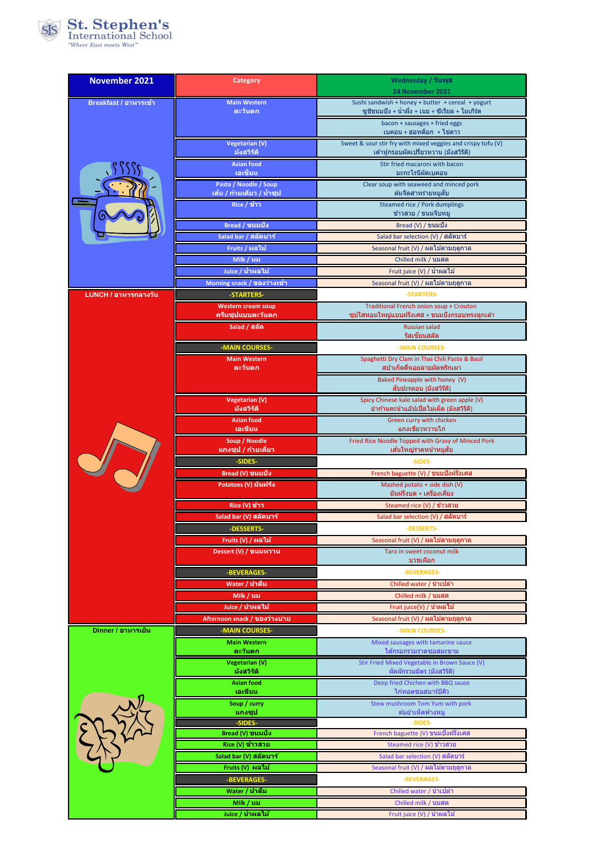

| November 2021         | <b>Category</b>                                       | Wednesday / วันพุธ                                                                                      |
|-----------------------|-------------------------------------------------------|---------------------------------------------------------------------------------------------------------|
| Breakfast / อาหารเข้า | <b>Main Western</b>                                   | 24 November 2021<br>Sushi sandwish + honey + butter + cereal + yogurt                                   |
|                       | ตะวันตก                                               | ชูชิขนมปัง + น้ำผึ้ง + เนย + ซีเรียล + โยเกิร์ด                                                         |
|                       |                                                       | bacon + sausages + fried eggs<br>เบคอน + ฮอทด็อก + ไข่ดาว                                               |
|                       | <b>Vegetarian (V)</b><br>มังสวิรัติ                   | Sweet & sour stir fry with mixed veggies and crispy tofu (V)<br>้ เต้าหักรอบผัดเปรี้ยวหวาน (มังสวิรัติ) |
|                       | <b>Asian food</b>                                     | Stir fried macaroni with bacon                                                                          |
|                       | เอเชียน                                               | ิมะกะโรนีผัดเบคอน                                                                                       |
|                       | Pasta / Noodle / Soup<br>ี เส้น / ก๋วยเตี๋ยว / น้ำชุป | Clear soup with seaweed and minced pork<br>ตัมจืดสาหร่ายหมสับ                                           |
|                       | Rice / ข้าว                                           | Steamed rice / Pork dumplings<br>ข้าวสวย / ขนมจีบหมู                                                    |
|                       | Bread / ขนมปัง                                        | Bread (V) / ขนมปัง                                                                                      |
|                       | Salad bar / สลัดบาร์                                  | Salad bar selection (V) / สลัดบาร์                                                                      |
|                       | Fruits / ผลไม้                                        | Seasonal fruit (V) / ผลไม้ตามฤดูกาล                                                                     |
|                       | Milk / นม<br>Juice / น้ำผลไม้                         | Chilled milk / นมสด<br>Fruit juice (V) / น้ำผลไม้                                                       |
|                       | Morning snack / ของว่างเข้า                           | Seasonal fruit (V) / ผลไม้ตามฤดูกาล                                                                     |
| LUNCH / อาหารกลางวัน  | -STARTERS-                                            | -STARTERS-                                                                                              |
|                       | <b>Western cream soup</b><br>ครีมชุปแบบตะวันตก        | Traditional French onion soup + Crouton<br>ชุปใสหอมใหญ่แบบฝรั่งเศส + ขนมปังกรอบทรงลูกเต๋า               |
|                       | Salad / สลัด                                          | <b>Russian salad</b><br>รัสเซียนสลัด                                                                    |
|                       | -MAIN COURSES-                                        | -MAIN COURSES-                                                                                          |
|                       | <b>Main Western</b><br>ตะวันตก                        | Spaghetti Dry Clam in Thai Chili Paste & Basil<br>ี่สปาเก็ตตี๋หอยลายผัดพริกเผา                          |
|                       |                                                       | Baked Pineapple with honey (V)                                                                          |
|                       | Vegetarian (V)                                        | สับปะรดอบ (มังสวิรัติ)<br>Spicy Chinese kale salad with green apple (V)                                 |
|                       | มังสวิรัติ                                            | ยำก้านคะน้าแอ๊ปเปิ้ลไม่เผ็ด (มังสวิรัติ)                                                                |
|                       | <b>Asian food</b><br>เอเชียน                          | Green curry with chicken<br>แกงเขียวหวานไก่                                                             |
|                       | Soup / Noodle<br>ีแกงชุป / ก๋วยเดียว                  | Fried Rice Noodle Topped with Gravy of Minced Pork<br>เส้นใหญ่ราดหน้าหมูสับ                             |
|                       | -SIDES-                                               | -SIDES-                                                                                                 |
|                       | Bread (V) ขนมปัง                                      | French baguette (V) / ขนมปังฝรั่งเศส                                                                    |
|                       | Potatoes (V) มันฝรั่ง                                 | Mashed potato + side dish (V)<br>มันฝรั่งบด + เครื่องเคียง                                              |
|                       | Rice (V) ข้าว                                         | Steamed rice (V) / ข้าวสวย                                                                              |
|                       | Salad bar (V) สลัดบาร์                                | Salad bar selection (V) / สลัดบาร์                                                                      |
|                       | -DESSERTS-<br>Fruits (V) / ผลไม้                      | -DESSERTS-<br>Seasonal fruit (V) / ผลไม้ตามฤดูกาล                                                       |
|                       | Dessert (V) / ขนมหวาน                                 | Taro in sweet coconut milk                                                                              |
|                       | -BEVERAGES-                                           | บวชเผือก<br>-BEVERAGES-                                                                                 |
|                       | Water / น้ำดื่ม                                       | Chilled water / น้ำเปล่า                                                                                |
|                       | Milk / นม                                             | Chilled milk / นมสด                                                                                     |
|                       | Juice / น้ำผลไม้                                      | Fruit juice(V) / น้ำผลไม้                                                                               |
| Dinner / อาหารเย็น    | Afternoon snack / ของว่างบ่าย<br>-MAIN COURSES-       | Seasonal fruit (V) / ผลไม้ตามฤดูกาล<br>-MAIN COURSES-                                                   |
|                       | <b>Main Western</b>                                   | Mixed sausages with tamarine sauce                                                                      |
|                       | ตะวันตก<br>Vegetarian (V)                             | ไส้กรอกรวมราดชอสมะขาม<br>Stir Fried Mixed Vegetable in Brown Sauce (V)                                  |
|                       | มังสวิรัติ                                            | ผัดผักรวมมิตร (มังสวิรัติ)                                                                              |
|                       | <b>Asian food</b><br>เอเชียน                          | Deep fried Chichen with BBQ sause<br>ไก่ทอดซอสบาร์บีคิว                                                 |
|                       | Soup / curry<br>แกงชุป                                | Stew mushroom Tom Yum with pork<br>ตัมยำเห็ดฟางหมู                                                      |
|                       | -SIDES-                                               | -SIDES-                                                                                                 |
|                       | Bread (V) ขนมปัง<br>Rice (V) ข้าวสวย                  | French baguette (V) ขนมปังฝรั่งเศส<br>Steamed rice (V) ข้าวสวย                                          |
|                       | Salad bar (V) สลัดบาร์                                | Salad bar selection (V) สลัดบาร์                                                                        |
|                       | Fruits (V) ผลไม้                                      | Seasonal fruit (V) / ผลไม้ตามฤดูกาล                                                                     |
|                       | -BEVERAGES-                                           | -BEVERAGES-                                                                                             |
|                       | Water / น้ำดื่ม<br>Milk / นม                          | Chilled water / นำเปล่า<br>Chilled milk / นมสด                                                          |
|                       | Juice / น้ำผลไม้                                      | Fruit juice (V) / นำผลไม้                                                                               |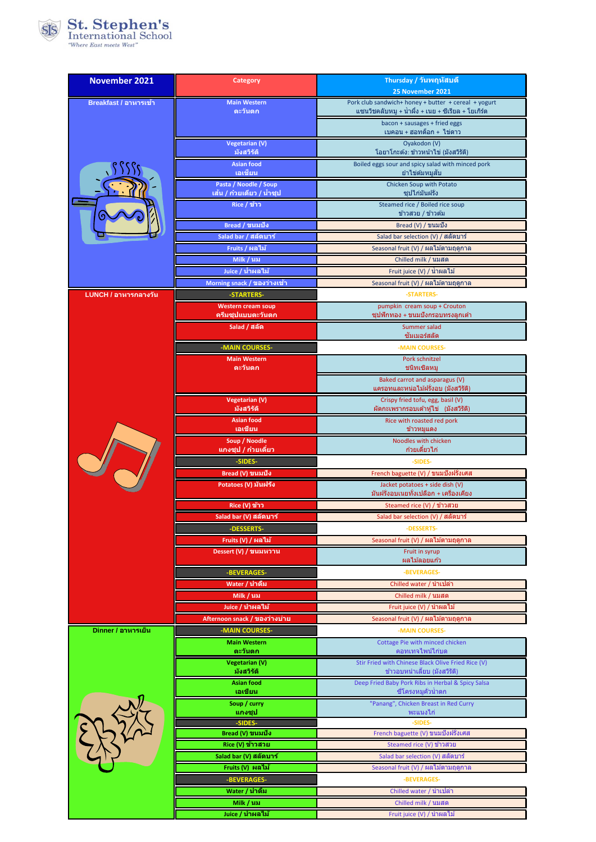

| <b>November 2021</b>  | Category                                            | Thursday / วันพฤหัสบดี                                                                    |
|-----------------------|-----------------------------------------------------|-------------------------------------------------------------------------------------------|
|                       | <b>Main Western</b>                                 | 25 November 2021<br>Pork club sandwich+ honey + butter + cereal + yogurt                  |
| Breakfast / อาหารเข้า | ตะวันตก                                             | แชนวิชคลับหมู + น้ำผึ้ง + เนย + ชีเรียล + โยเกิร์ต                                        |
|                       |                                                     | bacon + sausages + fried eggs<br>เบคอน + ฮอทด็อก + ไข่ดาว                                 |
|                       | <b>Vegetarian (V)</b>                               | Oyakodon (V)                                                                              |
|                       | มังสวิรัติ<br><b>Asian food</b>                     | โอยาโกะดัง: ข้าวหน้าไข่ (มังสวิรัติ)<br>Boiled eggs sour and spicy salad with minced pork |
|                       | เอเชียน                                             | ยำไข่ต้มหมสับ                                                                             |
|                       | Pasta / Noodle / Soup<br>้เส้น / ก๋วยเตี๋ยว / น้ำชป | Chicken Soup with Potato<br>ซปไก่มันฝรั่ง                                                 |
|                       | Rice / ข้าว                                         | Steamed rice / Boiled rice soup<br>ข้าวสวย / ข้าวต้ม                                      |
|                       | Bread / ขนมปัง                                      | Bread (V) / ขนมปัง                                                                        |
|                       | Salad bar / สลัดบาร์                                | Salad bar selection (V) / สลัดบาร์                                                        |
|                       | Fruits / ผลไม้                                      | Seasonal fruit (V) / ผลไม้ตามฤดูกาล                                                       |
|                       | Milk / นม<br>Juice / น้ำผลไม้                       | Chilled milk / นมสด<br>Fruit juice (V) / น้ำผลไม้                                         |
|                       | Morning snack / ของว่างเข้า                         | Seasonal fruit (V) / ผลไม้ตามฤดูกาล                                                       |
| LUNCH / อาหารกลางวัน  | -STARTERS-                                          | -STARTERS-                                                                                |
|                       | <b>Western cream soup</b><br>ครีมชุปแบบตะวันตก      | pumpkin cream soup + Crouton<br>ซุปฟักทอง + ขนมปังกรอบทรงลูกเต๋า                          |
|                       | Salad / สลัด                                        | Summer salad<br>ขัมเมอร์สลัด                                                              |
|                       | -MAIN COURSES-                                      | -MAIN COURSES-                                                                            |
|                       | <b>Main Western</b><br>ตะวันตก                      | Pork schnitzel<br>ชนิทเซิลหม                                                              |
|                       |                                                     | Baked carrot and asparagus (V)                                                            |
|                       | Vegetarian (V)                                      | ี แครอทและหน่อไม้ฝรั่งอบ (มังสวิรัติ)<br>Crispy fried tofu, egg, basil (V)                |
|                       | มังสวิรัติ                                          | ผัดกะเพรากรอบเต้าหู้ไข่ (มังสวิรัติ)                                                      |
|                       | <b>Asian food</b><br>เอเชียน                        | Rice with roasted red pork<br>ข้าวหมูแดง                                                  |
|                       | Soup / Noodle<br>แกงชุป / ก๋วยเตี๋ยว                | Noodles with chicken<br>ก๋วยเดี๋ยวไก่                                                     |
|                       | -SIDES-                                             | -SIDES-                                                                                   |
|                       | Bread (V) ขนมปัง                                    | French baguette (V) / ขนมปังฝรั่งเศส                                                      |
|                       | Potatoes (V) มันฝรั่ง                               | Jacket potatoes + side dish (V)<br>มันฝรั่งอบเนยทั้งเปลือก + เครื่องเคียง                 |
|                       | Rice (V) ข้าว                                       | Steamed rice (V) / ข้าวสวย                                                                |
|                       | Salad bar (V) สลัดบาร์                              | Salad bar selection (V) / สลัดบา                                                          |
|                       | -DESSERTS-                                          | -DESSERTS-                                                                                |
|                       | Fruits (V) / ผลไม้<br>Dessert (V) / ขนมหวาน         | Seasonal fruit (V) / ผลไม้ตามฤดูกาล<br>Fruit in syrup                                     |
|                       |                                                     | ผลไม้ลอยแก้ว                                                                              |
|                       | -BEVERAGES-<br>Water / น้ำดื่ม                      | -BEVERAGES-<br>Chilled water / นำเปล่า                                                    |
|                       | Milk / นม                                           | Chilled milk / นมสด                                                                       |
|                       | Juice / น้ำผลไม้                                    | Fruit juice (V) / น้ำผลไม้                                                                |
|                       | Afternoon snack / ของว่างบ่าย                       | Seasonal fruit (V) / ผลไม้ตามฤดูกาล                                                       |
| Dinner / อาหารเย็น    | -MAIN COURSES-<br><b>Main Western</b>               | -MAIN COURSES-<br>Cottage Pie with minced chicken                                         |
|                       | ตะวันตก                                             | ิคอทเทจไพน์ไก่บด                                                                          |
|                       | <b>Vegetarian (V)</b><br>มังสวิรัติ                 | Stir Fried with Chinese Black Olive Fried Rice (V)<br>ข้าวอบหน่าเลี้ยบ (มังสวิรัติ)       |
|                       | <b>Asian food</b><br>เอเชียน                        | Deep Fried Baby Pork Ribs in Herbal & Spicy Salsa<br>ชีโครงหมูคั่วน้ำตก                   |
|                       | Soup / curry                                        | "Panang", Chicken Breast in Red Curry                                                     |
|                       | ีแกงชุป<br>-SIDES-                                  | พะแนงไก่<br>-SIDES-                                                                       |
|                       | Bread (V) ขนมปัง                                    | French baguette (V) ขนมปังฝรั่งเศส                                                        |
|                       | Rice (V) ข้าวสวย<br>Salad bar (V) สลัดบาร์          | Steamed rice (V) ข้าวสวย<br>Salad bar selection (V) สลัดบาร์                              |
|                       | Fruits (V) ผลไม้                                    | Seasonal fruit (V) / ผลไม้ตามฤดูกาล                                                       |
|                       | -BEVERAGES-                                         | -BEVERAGES-                                                                               |
|                       | Water / น้ำดื่ม                                     | Chilled water / นำเปล่า                                                                   |
|                       | Milk / นม<br>Juice / น้ำผลไม้                       | Chilled milk / นมสด<br>Fruit juice (V) / น้ำผลไม้                                         |
|                       |                                                     |                                                                                           |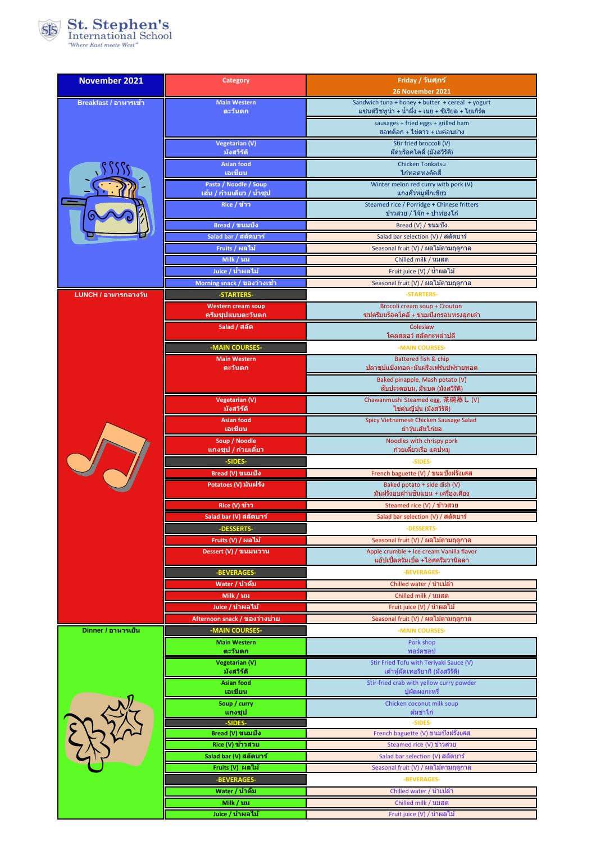

| <b>November 2021</b>  | Category                                       | Friday / วันศุกร์                                                               |
|-----------------------|------------------------------------------------|---------------------------------------------------------------------------------|
| Breakfast / อาหารเข้า | <b>Main Western</b>                            | 26 November 2021<br>Sandwich tuna + honey + butter + cereal + yogurt            |
|                       | ตะวันตก                                        | แซนด์วิชทูน่า + น้ำผึ้ง + เนย + ซีเรียล + โยเกิร์ต                              |
|                       |                                                | sausages + fried eggs + grilled ham<br>ฮอทด็อก + ไข่ดาว + เบค่อนย่าง            |
|                       | <b>Vegetarian (V)</b><br>มังสวิรัติ            | Stir fried broccoli (V)<br>ผัดบร็อคโคลี่ (มังสวิรัติ)                           |
|                       | <b>Asian food</b>                              | <b>Chicken Tonkatsu</b>                                                         |
|                       | เอเชียน<br>Pasta / Noodle / Soup               | ไก่ทอดทงคัตสึ<br>Winter melon red curry with pork (V)                           |
|                       | ีเส้น / ก๋วยเตี๋ยว / น้ำชุป                    | ีแกงคั่วหมูฟักเขียว                                                             |
|                       | Rice / ข้าว                                    | Steamed rice / Porridge + Chinese fritters<br>ข้าวสวย / โจ๊ก + ปาท่องโก๋        |
|                       | Bread / ขนมปัง                                 | Bread (V) / ขนมปัง                                                              |
|                       | Salad bar / สลัดบาร์                           | Salad bar selection (V) / สลัดบาร์                                              |
|                       | Fruits / ผลไม้                                 | Seasonal fruit (V) / ผลไม้ตามฤดูกาล                                             |
|                       | Milk / นม<br>Juice / น้ำผลไม้                  | Chilled milk / นมสด<br>Fruit juice (V) / น้ำผลไม้                               |
|                       | Morning snack / ของว่างเข้า                    | Seasonal fruit (V) / ผลไม้ตามฤดูกาล                                             |
| LUNCH / อาหารกลางวัน  | -STARTERS-                                     | -STARTERS-                                                                      |
|                       | <b>Western cream soup</b><br>ครีมชุปแบบตะวันตก | Brocoli cream soup + Crouton<br>ชุปครีมบร็อคโคลี่ + ขนมปังกรอบทรงลูกเต๋า        |
|                       | Salad / สลัด                                   | Coleslaw<br>์ โคลสลอว์ สลัดกะหล่ำปลี                                            |
|                       | -MAIN COURSES-                                 | -MAIN COURSES-                                                                  |
|                       | <b>Main Western</b>                            | Battered fish & chip                                                            |
|                       | ตะวันตก                                        | ปลาชุปแป้งทอด+มันฝรั่งเฟรันช์ฟรายทอด<br>Baked pinapple, Mash potato (V)         |
|                       |                                                | สับปะรดอบม, มันบด (มังสวิรัติ)                                                  |
|                       | <b>Vegetarian (V)</b><br>มังสวิรัติ            | Chawanmushi Steamed egg, 茶碗蒸し (V)<br>ไข่ดุ๋นญี่ปุ่น (มังสวิรัติ)                |
|                       | <b>Asian food</b><br>เอเชียน                   | Spicy Vietnamese Chicken Sausage Salad<br>ยำวุ้นเส้นไก่ยอ                       |
|                       | Soup / Noodle<br>แกงชุป / ก๋วยเตี๋ยว           | Noodles with chrispy pork<br>ก๋วยเดี๋ยวเรือ แคปหมู                              |
|                       | -SIDES-                                        | -SIDES-                                                                         |
|                       | Bread (V) ขนมปัง                               | French baguette (V) / ขนมปังฝรั่งเศส                                            |
|                       | Potatoes (V) มันฝรั่ง                          | Baked potato + side dish (V)<br>มันฝรั่งอบฝานขึ้นแบน + เครื่องเคียง             |
|                       | Rice (V) ข้าว                                  | Steamed rice (V) / ข้าวสวย                                                      |
|                       | Salad bar (V) สลัดบาร์                         | Salad bar selection (V) / สลัดบาร์                                              |
|                       | -DESSERTS-                                     | -DESSERTS-                                                                      |
|                       | Fruits (V) / ผลไม้<br>Dessert (V) / ขนมหวาน    | Seasonal fruit (V) / ผลไม้ตามฤดูกาล<br>Apple crumble + Ice cream Vanilla flavor |
|                       |                                                | แอ๊ปเปิ้ลครัมเบิ้ล +ไอศครีมวานิลลา                                              |
|                       | -BEVERAGES-                                    | -BEVERAGES-                                                                     |
|                       | Water / น้ำดื่ม<br>Milk / นม                   | Chilled water / น้ำเปล่า<br>Chilled milk / นมสด                                 |
|                       | Juice / น้ำผลไม้                               | Fruit juice (V) / น้ำผลไม้                                                      |
|                       | Afternoon snack / ของว่างบ่าย                  | Seasonal fruit (V) / ผลไม้ตามฤดูกาล                                             |
| Dinner / อาหารเย็น    | -MAIN COURSES-<br><b>Main Western</b>          | -MAIN COURSES-                                                                  |
|                       | ตะวันตก                                        | Pork shop<br>พอร์คชอป                                                           |
|                       | Vegetarian (V)<br>มังสวิรัติ                   | Stir Fried Tofu with Teriyaki Sauce (V)<br>เต๋าหู้ผัดเทอริยากิ (มังสวิรัติ)     |
|                       | <b>Asian food</b><br>เอเชียน                   | Stir-fried crab with yellow curry powder<br>ปผัดผงกะหรื                         |
|                       | Soup / curry                                   | Chicken coconut milk soup                                                       |
|                       | แกงชุป<br>-SIDES-                              | ิต้มข่าไก่<br>-SIDES-                                                           |
|                       | Bread (V) ขนมปัง                               | French baguette (V) ขนมปังฝรั่งเศส                                              |
|                       | Rice (V) ข้าวสวย                               | Steamed rice (V) ข้าวสวย                                                        |
|                       | Salad bar (V) สลัดบาร์<br>Fruits (V) ผลไม้     | Salad bar selection (V) สลัดบาร์<br>Seasonal fruit (V) / ผลไม้ตามฤดูกาล         |
|                       | -BEVERAGES-                                    | -BEVERAGES-                                                                     |
|                       | Water / น้ำดื่ม                                | Chilled water / นำเปล่า                                                         |
|                       | Milk / นม                                      | Chilled milk / นมสด                                                             |
|                       | Juice / น้ำผลไม้                               | Fruit juice (V) / นำผลไม้                                                       |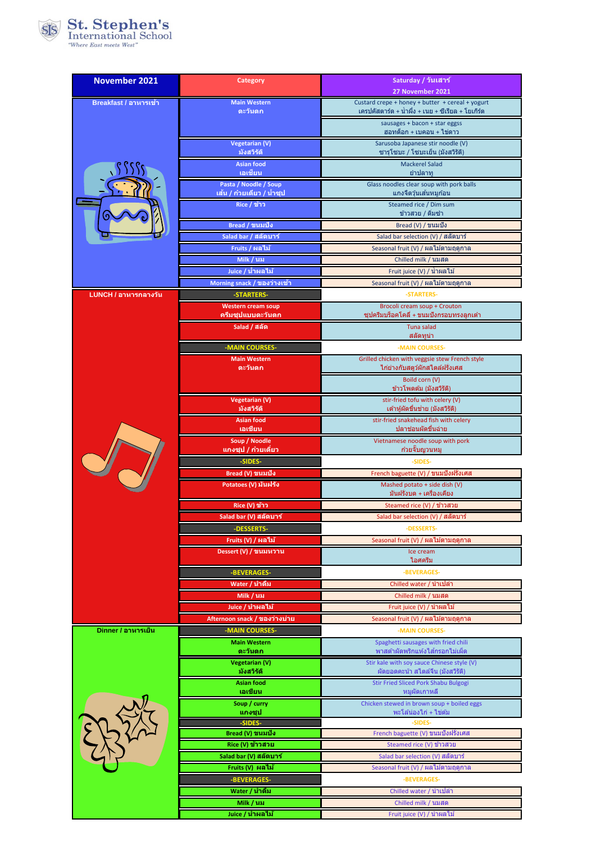

| <b>November 2021</b>  | Category                                             | Saturday / วันเสาร์                                                                                   |
|-----------------------|------------------------------------------------------|-------------------------------------------------------------------------------------------------------|
|                       |                                                      | 27 November 2021                                                                                      |
| Breakfast / อาหารเข้า | <b>Main Western</b><br>ตะวันตก                       | Custard crepe + honey + butter + cereal + yogurt<br>เครปคัสตาร์ด + น้ำผึ้ง + เนย + ซีเรียล + โยเกิร์ต |
|                       |                                                      | sausages + bacon + star eggss                                                                         |
|                       |                                                      | ฮอทด็อก + เบคอน + ไข่ดาว                                                                              |
|                       | Vegetarian (V)<br>มังสวิรัติ                         | Sarusoba Japanese stir noodle (V)<br>ชารุโชบะ / โชบะเย็น (มังสวิรัติ)                                 |
|                       | <b>Asian food</b>                                    | <b>Mackerel Salad</b>                                                                                 |
|                       | เอเชียน                                              | ยำปลาทู                                                                                               |
|                       | Pasta / Noodle / Soup<br>ีเส้น / ก๋วยเตี๋ยว / น้ำชุป | Glass noodles clear soup with pork balls<br>แกงจืดวุ้นเส้นหมูก้อน                                     |
|                       | Rice / ข้าว                                          | Steamed rice / Dim sum                                                                                |
|                       |                                                      | ข้าวสวย / ติ่มซ่า                                                                                     |
|                       | Bread / ขนมปัง<br>Salad bar / สลัดบาร์               | Bread (V) / ขนมปัง<br>Salad bar selection (V) / สลัดบาร์                                              |
|                       | Fruits / ผลไม้                                       | Seasonal fruit (V) / ผลไม้ตามฤดูกาล                                                                   |
|                       | Milk / นม                                            | Chilled milk / นมสด                                                                                   |
|                       | Juice / น้ำผลไม้                                     | Fruit juice (V) / น้ำผลไม้                                                                            |
|                       | Morning snack / ของว่างเข้า                          | Seasonal fruit (V) / ผลไม้ตามฤดูกาล                                                                   |
| LUNCH / อาหารกลางวัน  | -STARTERS-                                           | -STARTERS-                                                                                            |
|                       | <b>Western cream soup</b><br>ครีมชุปแบบตะวันตก       | Brocoli cream soup + Crouton<br>ิซฺปครีมบร็อคโคลี่ + ขนมปังกรอบทรงลกเต๋า                              |
|                       | Salad / สลัด                                         | Tuna salad                                                                                            |
|                       |                                                      | สลัดทูน่า                                                                                             |
|                       | -MAIN COURSES-<br><b>Main Western</b>                | -MAIN COURSES-<br>Grilled chicken with veggsie stew French style                                      |
|                       | ตะวันตก                                              | ไก่ย่างกับสตูว์ผักสไตล์ฝรั่งเศส                                                                       |
|                       |                                                      | Boild corn (V)                                                                                        |
|                       | <b>Vegetarian (V)</b>                                | ข้าวโพดต้ม (มังสวิรัติ)<br>stir-fried tofu with celery (V)                                            |
|                       | มังสวิรัติ                                           | เต้าหู้ผัดขึ้นช่าย (มังสวิรัติ)                                                                       |
|                       | <b>Asian food</b><br>เอเชียน                         | stir-fried snakehead fish with celery<br>ปลาช่อนผัดขึ้นฉ่าย                                           |
|                       | Soup / Noodle                                        | Vietnamese noodle soup with pork                                                                      |
|                       | ีแกงชุป / ก๋วยเตียว<br>-SIDES-                       | ้ก๋วยจั๊บญวนหมู<br>-SIDES-                                                                            |
|                       | Bread (V) ขนมปัง                                     | French baguette (V) / ขนมปังฝรั่งเศส                                                                  |
|                       | Potatoes (V) มันฝรั่ง                                | Mashed potato + side dish (V)                                                                         |
|                       |                                                      | มันฝรั่งบด + เครื่องเคียง<br>Steamed rice (V) / ข้าวสวย                                               |
|                       | Rice (V) ข้าว<br>Salad bar (V) สลัดบาร์              | Salad bar selection (V) / สลัดบาร์                                                                    |
|                       | -DESSERTS-                                           | -DESSERTS-                                                                                            |
|                       | Fruits (V) / ผลไม้                                   | Seasonal fruit (V) / ผลไม้ตามฤดูกาล                                                                   |
|                       | Dessert (V) / ขนมหวาน                                | Ice cream                                                                                             |
|                       | -BEVERAGES-                                          | ไอศครีม<br>-BEVERAGES-                                                                                |
|                       | Water / น้ำดื่ม                                      | Chilled water / นำเปล่า                                                                               |
|                       | Milk / นม                                            | Chilled milk / นมสด                                                                                   |
|                       | Juice / น้ำผลไม้                                     | Fruit juice (V) / นำผลไม้                                                                             |
|                       | Afternoon snack / ของว่างบ่าย                        | Seasonal fruit (V) / ผลไม้ตามฤดูกาล                                                                   |
| Dinner / อาหารเย็น    | -MAIN COURSES-<br><b>Main Western</b>                | -MAIN COURSES-<br>Spaghetti sausages with fried chili                                                 |
|                       | ิตะวันตก                                             | พาสต้าผัดพริกแห้งไส้กรอกไม่เผ็ด                                                                       |
|                       | <b>Vegetarian (V)</b><br>มังสวิรัติ                  | Stir kale with soy sauce Chinese style (V)<br>ผัดยอดคะน้า สไตล์จีน (มังสวิรัติ)                       |
|                       | <b>Asian food</b>                                    | Stir Fried Sliced Pork Shabu Bulgogi                                                                  |
|                       | เอเชียน                                              | หมูผัดเกาหลี                                                                                          |
|                       | Soup / curry<br>แกงชุป                               | Chicken stewed in brown soup + boiled eggs<br>พะโล้น่องไก่ + ไข่ต้ม                                   |
|                       | -SIDES-                                              | -SIDES-                                                                                               |
|                       | Bread (V) ขนมปัง                                     | French baguette (V) ขนมปังฝรั่งเศส                                                                    |
|                       | Rice (V) ข้าวสวย                                     | Steamed rice (V) ข้าวสวย                                                                              |
|                       | Salad bar (V) สลัดบาร์<br>Fruits (V)  ผลไม้          | Salad bar selection (V) สลัดบาร์<br>Seasonal fruit (V) / ผลไม้ตามฤดูกาล                               |
|                       | -BEVERAGES-                                          | -BEVERAGES-                                                                                           |
|                       | Water / นำดื่ม                                       | Chilled water / นำเปล่า                                                                               |
|                       | Milk / นม                                            | Chilled milk / นมสด                                                                                   |
|                       | Juice / น้ำผลไม้                                     | Fruit juice (V) / นำผลไม้                                                                             |